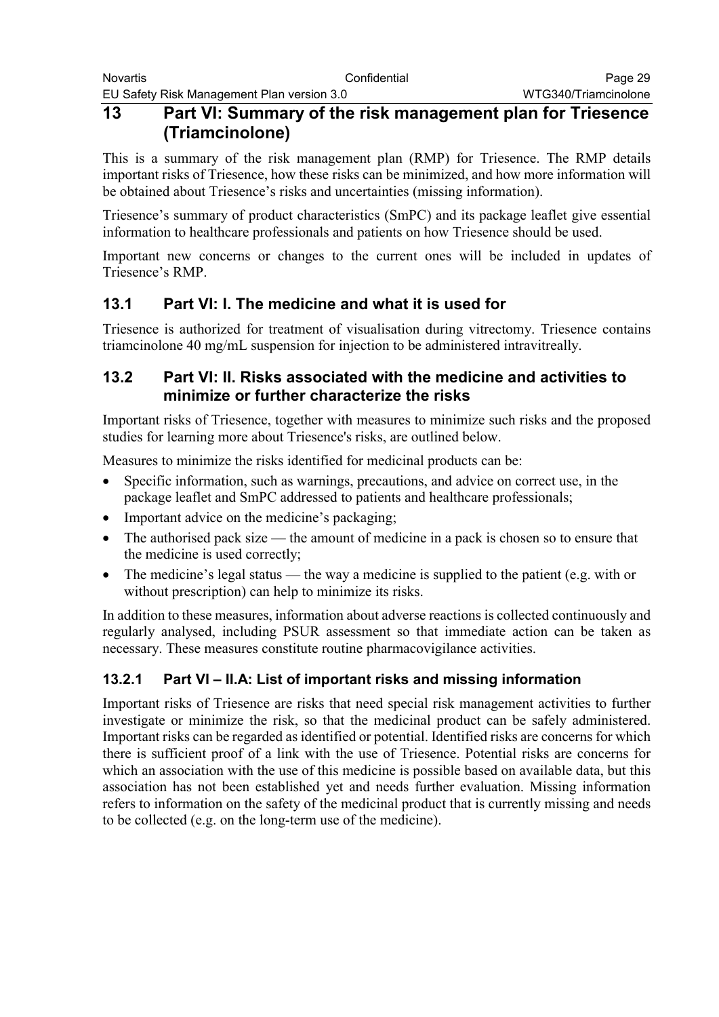## **13 Part VI: Summary of the risk management plan for Triesence (Triamcinolone)**

This is a summary of the risk management plan (RMP) for Triesence. The RMP details important risks of Triesence, how these risks can be minimized, and how more information will be obtained about Triesence's risks and uncertainties (missing information).

Triesence's summary of product characteristics (SmPC) and its package leaflet give essential information to healthcare professionals and patients on how Triesence should be used.

Important new concerns or changes to the current ones will be included in updates of Triesence's RMP.

# **13.1 Part VI: I. The medicine and what it is used for**

Triesence is authorized for treatment of visualisation during vitrectomy. Triesence contains triamcinolone 40 mg/mL suspension for injection to be administered intravitreally.

### **13.2 Part VI: II. Risks associated with the medicine and activities to minimize or further characterize the risks**

Important risks of Triesence, together with measures to minimize such risks and the proposed studies for learning more about Triesence's risks, are outlined below.

Measures to minimize the risks identified for medicinal products can be:

- Specific information, such as warnings, precautions, and advice on correct use, in the package leaflet and SmPC addressed to patients and healthcare professionals;
- Important advice on the medicine's packaging;
- The authorised pack size the amount of medicine in a pack is chosen so to ensure that the medicine is used correctly;
- The medicine's legal status the way a medicine is supplied to the patient (e.g. with or without prescription) can help to minimize its risks.

In addition to these measures, information about adverse reactions is collected continuously and regularly analysed, including PSUR assessment so that immediate action can be taken as necessary. These measures constitute routine pharmacovigilance activities.

### **13.2.1 Part VI – II.A: List of important risks and missing information**

Important risks of Triesence are risks that need special risk management activities to further investigate or minimize the risk, so that the medicinal product can be safely administered. Important risks can be regarded as identified or potential. Identified risks are concerns for which there is sufficient proof of a link with the use of Triesence. Potential risks are concerns for which an association with the use of this medicine is possible based on available data, but this association has not been established yet and needs further evaluation. Missing information refers to information on the safety of the medicinal product that is currently missing and needs to be collected (e.g. on the long-term use of the medicine).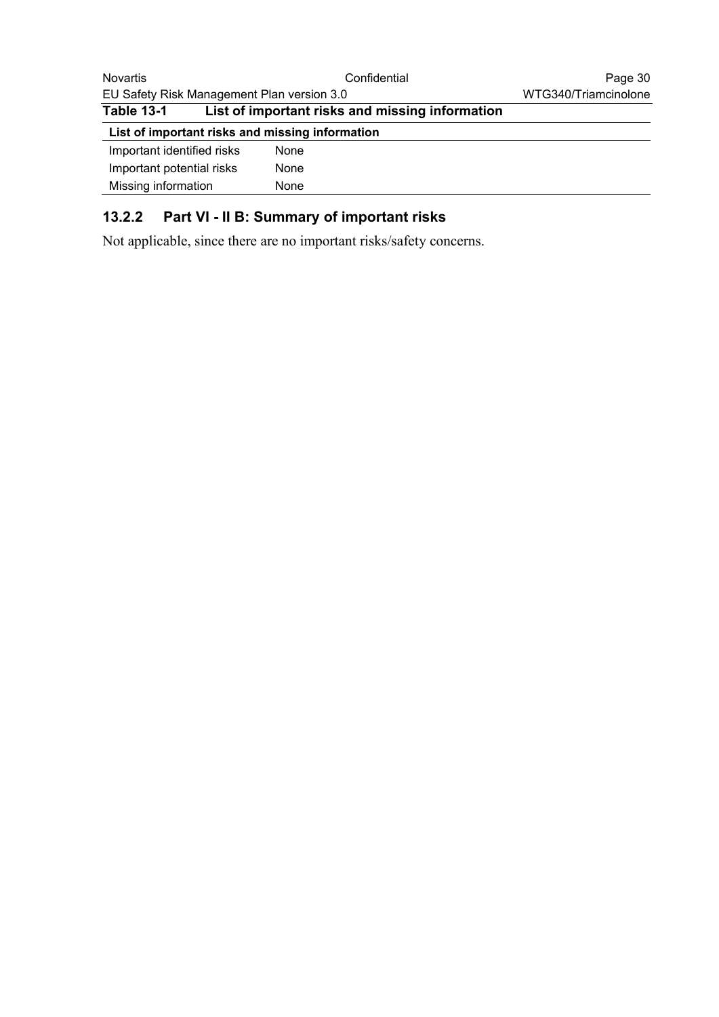| <b>Novartis</b>                                 | Confidential |      | Page 30                                         |  |
|-------------------------------------------------|--------------|------|-------------------------------------------------|--|
| EU Safety Risk Management Plan version 3.0      |              |      | WTG340/Triamcinolone                            |  |
| <b>Table 13-1</b>                               |              |      | List of important risks and missing information |  |
| List of important risks and missing information |              |      |                                                 |  |
| Important identified risks                      |              | None |                                                 |  |
| Important potential risks                       |              | None |                                                 |  |
| Missing information                             |              | None |                                                 |  |

# **13.2.2 Part VI - II B: Summary of important risks**

Not applicable, since there are no important risks/safety concerns.